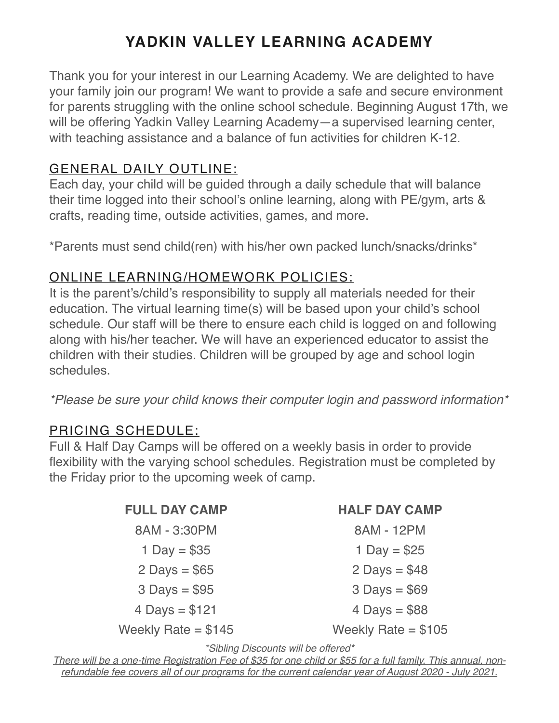# **YADKIN VALLEY LEARNING ACADEMY**

Thank you for your interest in our Learning Academy. We are delighted to have your family join our program! We want to provide a safe and secure environment for parents struggling with the online school schedule. Beginning August 17th, we will be offering Yadkin Valley Learning Academy—a supervised learning center, with teaching assistance and a balance of fun activities for children K-12.

#### GENERAL DAILY OUTLINE:

Each day, your child will be guided through a daily schedule that will balance their time logged into their school's online learning, along with PE/gym, arts & crafts, reading time, outside activities, games, and more.

\*Parents must send child(ren) with his/her own packed lunch/snacks/drinks\*

### ONLINE LEARNING/HOMEWORK POLICIES:

It is the parent's/child's responsibility to supply all materials needed for their education. The virtual learning time(s) will be based upon your child's school schedule. Our staff will be there to ensure each child is logged on and following along with his/her teacher. We will have an experienced educator to assist the children with their studies. Children will be grouped by age and school login schedules.

*\*Please be sure your child knows their computer login and password information\**

#### PRICING SCHEDULE:

Full & Half Day Camps will be offered on a weekly basis in order to provide flexibility with the varying school schedules. Registration must be completed by the Friday prior to the upcoming week of camp.

> **FULL DAY CAMP** 8AM - 3:30PM 1 Day  $= $35$  $2$  Days = \$65  $3$  Days = \$95  $4$  Days = \$121 Weekly Rate  $= $145$  Weekly Rate  $= $105$

| <b>HALF DAY CAMP</b> |
|----------------------|
| 8AM - 12PM           |
| 1 Day = $$25$        |
| 2 Days = $$48$       |
| $3$ Days = \$69      |
| 4 Days = $$88$       |
| $ML = LL$ . Dete     |

*\*Sibling Discounts will be offered\**

*There will be a one-time Registration Fee of \$35 for one child or \$55 for a full family. This annual, nonrefundable fee covers all of our programs for the current calendar year of August 2020 - July 2021.*